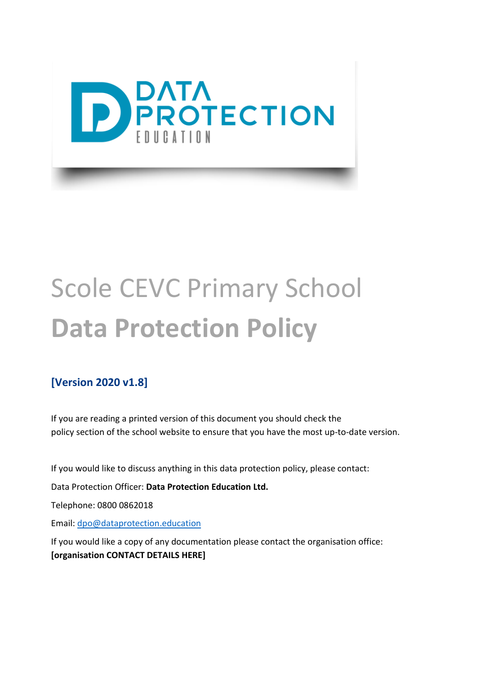

# Scole CEVC Primary School **Data Protection Policy**

#### **[Version 2020 v1.8]**

If you are reading a printed version of this document you should check the policy section of the school website to ensure that you have the most up-to-date version.

If you would like to discuss anything in this data protection policy, please contact:

Data Protection Officer: **Data Protection Education Ltd.**

Telephone: 0800 0862018

Email: [dpo@dataprotection.education](mailto:dpo@dataprotection.education)

If you would like a copy of any documentation please contact the organisation office: **[organisation CONTACT DETAILS HERE]**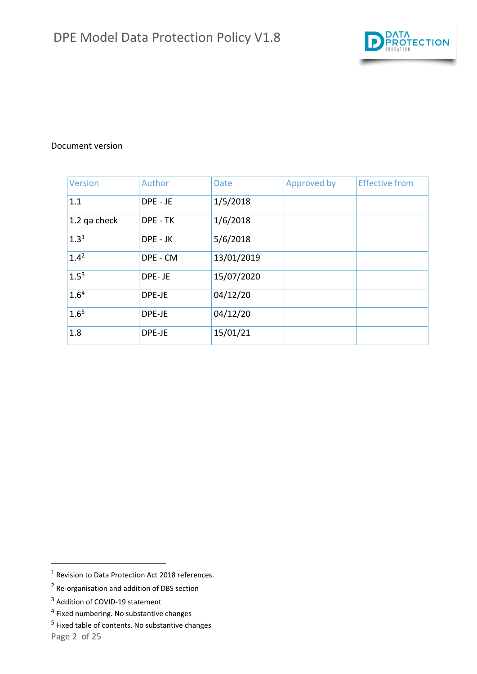

#### Document version

| Version          | Author   | <b>Date</b> | Approved by | <b>Effective from</b> |
|------------------|----------|-------------|-------------|-----------------------|
| 1.1              | DPE - JE | 1/5/2018    |             |                       |
| 1.2 ga check     | DPE - TK | 1/6/2018    |             |                       |
| $1.3^{1}$        | DPE - JK | 5/6/2018    |             |                       |
| $1.4^{2}$        | DPE - CM | 13/01/2019  |             |                       |
| $1.5^{3}$        | DPE-JE   | 15/07/2020  |             |                       |
| 1.6 <sup>4</sup> | DPE-JE   | 04/12/20    |             |                       |
| 1.6 <sup>5</sup> | DPE-JE   | 04/12/20    |             |                       |
| 1.8              | DPE-JE   | 15/01/21    |             |                       |

 $\overline{a}$ 

<sup>1</sup> Revision to Data Protection Act 2018 references.

<sup>2</sup> Re-organisation and addition of DBS section

<sup>3</sup> Addition of COVID-19 statement

<sup>&</sup>lt;sup>4</sup> Fixed numbering. No substantive changes

<sup>&</sup>lt;sup>5</sup> Fixed table of contents. No substantive changes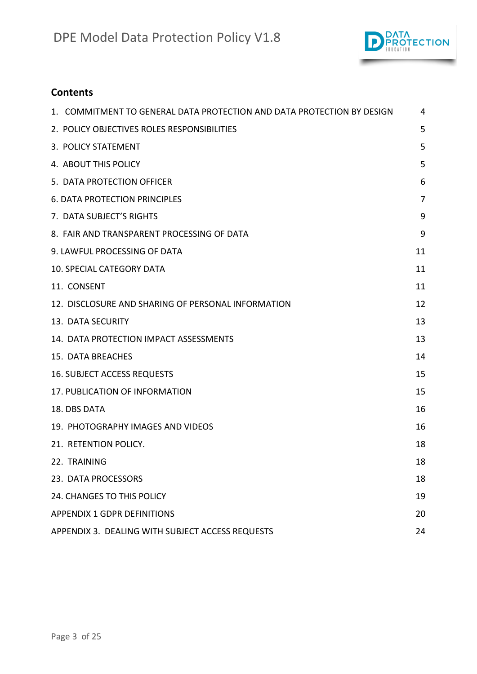

#### **Contents**

| 1. COMMITMENT TO GENERAL DATA PROTECTION AND DATA PROTECTION BY DESIGN | 4              |
|------------------------------------------------------------------------|----------------|
| 2. POLICY OBJECTIVES ROLES RESPONSIBILITIES                            | 5              |
| 3. POLICY STATEMENT                                                    | 5              |
| 4. ABOUT THIS POLICY                                                   | 5              |
| 5. DATA PROTECTION OFFICER                                             | 6              |
| <b>6. DATA PROTECTION PRINCIPLES</b>                                   | $\overline{7}$ |
| 7. DATA SUBJECT'S RIGHTS                                               | 9              |
| 8. FAIR AND TRANSPARENT PROCESSING OF DATA                             | 9              |
| 9. LAWFUL PROCESSING OF DATA                                           | 11             |
| <b>10. SPECIAL CATEGORY DATA</b>                                       | 11             |
| 11. CONSENT                                                            | 11             |
| 12. DISCLOSURE AND SHARING OF PERSONAL INFORMATION                     | 12             |
| 13. DATA SECURITY                                                      | 13             |
| 14. DATA PROTECTION IMPACT ASSESSMENTS                                 | 13             |
| 15. DATA BREACHES                                                      | 14             |
| <b>16. SUBJECT ACCESS REQUESTS</b>                                     | 15             |
| 17. PUBLICATION OF INFORMATION                                         | 15             |
| 18. DBS DATA                                                           | 16             |
| 19. PHOTOGRAPHY IMAGES AND VIDEOS                                      | 16             |
| 21. RETENTION POLICY.                                                  | 18             |
| 22. TRAINING                                                           | 18             |
| 23. DATA PROCESSORS                                                    | 18             |
| 24. CHANGES TO THIS POLICY                                             | 19             |
| <b>APPENDIX 1 GDPR DEFINITIONS</b>                                     | 20             |
| APPENDIX 3. DEALING WITH SUBJECT ACCESS REQUESTS                       | 24             |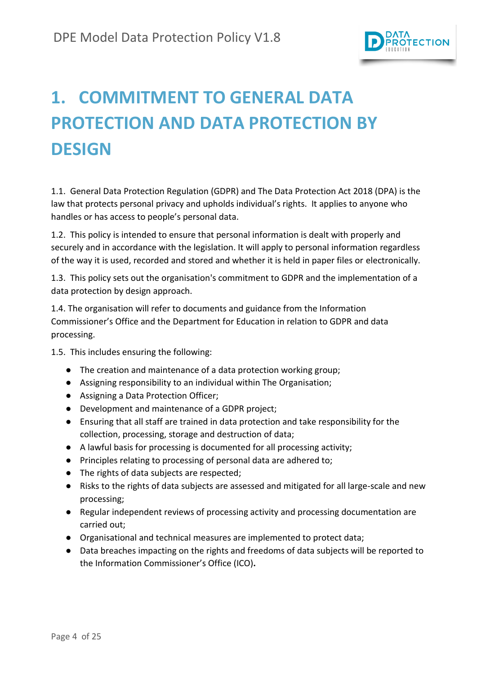

# <span id="page-3-0"></span>**1. COMMITMENT TO GENERAL DATA PROTECTION AND DATA PROTECTION BY DESIGN**

1.1. General Data Protection Regulation (GDPR) and The Data Protection Act 2018 (DPA) is the law that protects personal privacy and upholds individual's rights. It applies to anyone who handles or has access to people's personal data.

1.2. This policy is intended to ensure that personal information is dealt with properly and securely and in accordance with the legislation. It will apply to personal information regardless of the way it is used, recorded and stored and whether it is held in paper files or electronically.

1.3. This policy sets out the organisation's commitment to GDPR and the implementation of a data protection by design approach.

1.4. The organisation will refer to documents and guidance from the Information Commissioner's Office and the Department for Education in relation to GDPR and data processing.

1.5. This includes ensuring the following:

- The creation and maintenance of a data protection working group;
- Assigning responsibility to an individual within The Organisation;
- Assigning a Data Protection Officer;
- Development and maintenance of a GDPR project;
- Ensuring that all staff are trained in data protection and take responsibility for the collection, processing, storage and destruction of data;
- A lawful basis for processing is documented for all processing activity;
- Principles relating to processing of personal data are adhered to;
- The rights of data subjects are respected;
- Risks to the rights of data subjects are assessed and mitigated for all large-scale and new processing;
- Regular independent reviews of processing activity and processing documentation are carried out;
- Organisational and technical measures are implemented to protect data;
- Data breaches impacting on the rights and freedoms of data subjects will be reported to the Information Commissioner's Office (ICO)**.**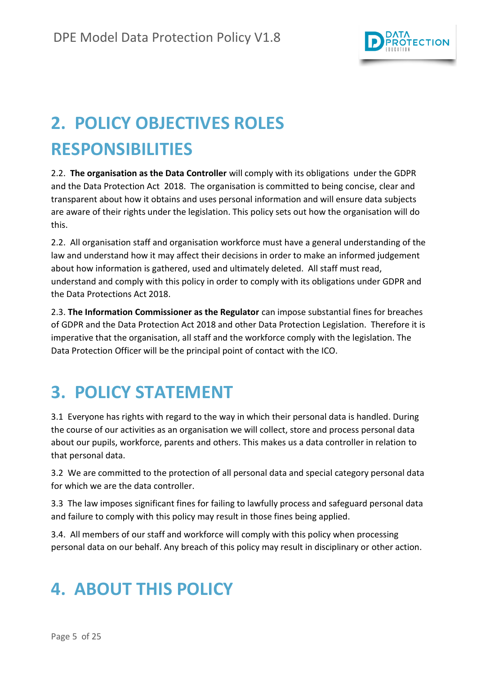

# <span id="page-4-0"></span>**2. POLICY OBJECTIVES ROLES RESPONSIBILITIES**

2.2. **The organisation as the Data Controller** will comply with its obligations under the GDPR and the Data Protection Act 2018. The organisation is committed to being concise, clear and transparent about how it obtains and uses personal information and will ensure data subjects are aware of their rights under the legislation. This policy sets out how the organisation will do this.

2.2. All organisation staff and organisation workforce must have a general understanding of the law and understand how it may affect their decisions in order to make an informed judgement about how information is gathered, used and ultimately deleted. All staff must read, understand and comply with this policy in order to comply with its obligations under GDPR and the Data Protections Act 2018.

2.3. **The Information Commissioner as the Regulator** can impose substantial fines for breaches of GDPR and the Data Protection Act 2018 and other Data Protection Legislation. Therefore it is imperative that the organisation, all staff and the workforce comply with the legislation. The Data Protection Officer will be the principal point of contact with the ICO.

### <span id="page-4-1"></span>**3. POLICY STATEMENT**

3.1 Everyone has rights with regard to the way in which their personal data is handled. During the course of our activities as an organisation we will collect, store and process personal data about our pupils, workforce, parents and others. This makes us a data controller in relation to that personal data.

3.2 We are committed to the protection of all personal data and special category personal data for which we are the data controller.

3.3 The law imposes significant fines for failing to lawfully process and safeguard personal data and failure to comply with this policy may result in those fines being applied.

3.4. All members of our staff and workforce will comply with this policy when processing personal data on our behalf. Any breach of this policy may result in disciplinary or other action.

#### <span id="page-4-2"></span>**4. ABOUT THIS POLICY**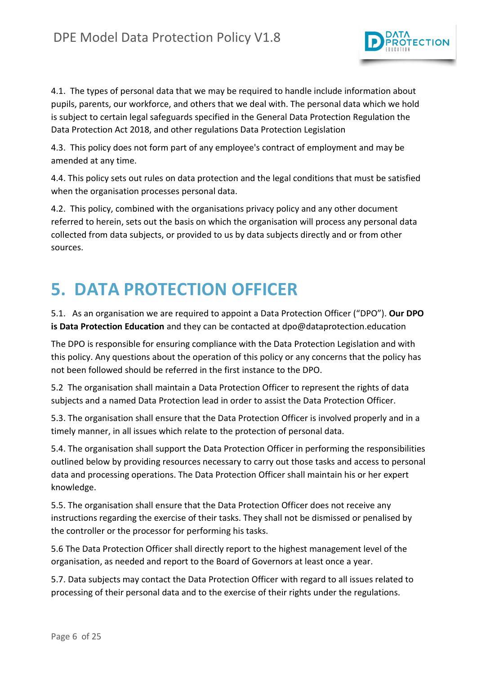

4.1. The types of personal data that we may be required to handle include information about pupils, parents, our workforce, and others that we deal with. The personal data which we hold is subject to certain legal safeguards specified in the General Data Protection Regulation the Data Protection Act 2018, and other regulations Data Protection Legislation

4.3. This policy does not form part of any employee's contract of employment and may be amended at any time.

4.4. This policy sets out rules on data protection and the legal conditions that must be satisfied when the organisation processes personal data.

4.2. This policy, combined with the organisations privacy policy and any other document referred to herein, sets out the basis on which the organisation will process any personal data collected from data subjects, or provided to us by data subjects directly and or from other sources.

### <span id="page-5-0"></span>**5. DATA PROTECTION OFFICER**

5.1. As an organisation we are required to appoint a Data Protection Officer ("DPO"). **Our DPO is Data Protection Education** and they can be contacted at dpo@dataprotection.education

The DPO is responsible for ensuring compliance with the Data Protection Legislation and with this policy. Any questions about the operation of this policy or any concerns that the policy has not been followed should be referred in the first instance to the DPO.

5.2 The organisation shall maintain a Data Protection Officer to represent the rights of data subjects and a named Data Protection lead in order to assist the Data Protection Officer.

5.3. The organisation shall ensure that the Data Protection Officer is involved properly and in a timely manner, in all issues which relate to the protection of personal data.

5.4. The organisation shall support the Data Protection Officer in performing the responsibilities outlined below by providing resources necessary to carry out those tasks and access to personal data and processing operations. The Data Protection Officer shall maintain his or her expert knowledge.

5.5. The organisation shall ensure that the Data Protection Officer does not receive any instructions regarding the exercise of their tasks. They shall not be dismissed or penalised by the controller or the processor for performing his tasks.

5.6 The Data Protection Officer shall directly report to the highest management level of the organisation, as needed and report to the Board of Governors at least once a year.

5.7. Data subjects may contact the Data Protection Officer with regard to all issues related to processing of their personal data and to the exercise of their rights under the regulations.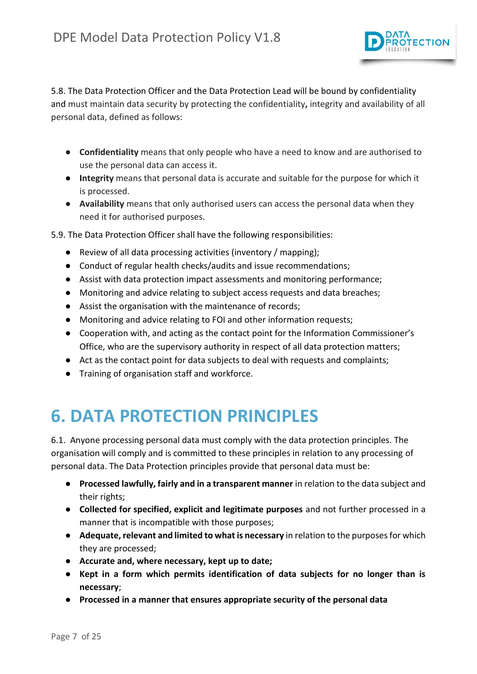

5.8. The Data Protection Officer and the Data Protection Lead will be bound by confidentiality and must maintain data security by protecting the confidentiality**,** integrity and availability of all personal data, defined as follows:

- **Confidentiality** means that only people who have a need to know and are authorised to use the personal data can access it.
- **Integrity** means that personal data is accurate and suitable for the purpose for which it is processed.
- **Availability** means that only authorised users can access the personal data when they need it for authorised purposes.
- 5.9. The Data Protection Officer shall have the following responsibilities:
	- Review of all data processing activities (inventory / mapping);
	- Conduct of regular health checks/audits and issue recommendations;
	- Assist with data protection impact assessments and monitoring performance;
	- Monitoring and advice relating to subject access requests and data breaches;
	- Assist the organisation with the maintenance of records;
	- Monitoring and advice relating to FOI and other information requests;
	- Cooperation with, and acting as the contact point for the Information Commissioner's Office, who are the supervisory authority in respect of all data protection matters;
	- Act as the contact point for data subjects to deal with requests and complaints;
	- Training of organisation staff and workforce.

#### <span id="page-6-0"></span>**6. DATA PROTECTION PRINCIPLES**

6.1. Anyone processing personal data must comply with the data protection principles. The organisation will comply and is committed to these principles in relation to any processing of personal data. The Data Protection principles provide that personal data must be:

- **Processed lawfully, fairly and in a transparent manner** in relation to the data subject and their rights;
- **Collected for specified, explicit and legitimate purposes** and not further processed in a manner that is incompatible with those purposes;
- **Adequate, relevant and limited to what is necessary** in relation to the purposes for which they are processed;
- **Accurate and, where necessary, kept up to date;**
- **Kept in a form which permits identification of data subjects for no longer than is necessary**;
- **Processed in a manner that ensures appropriate security of the personal data**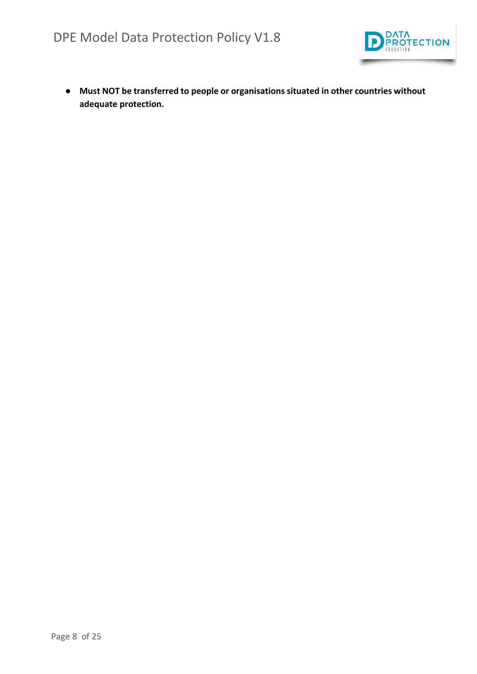

● **Must NOT be transferred to people or organisations situated in other countries without adequate protection.**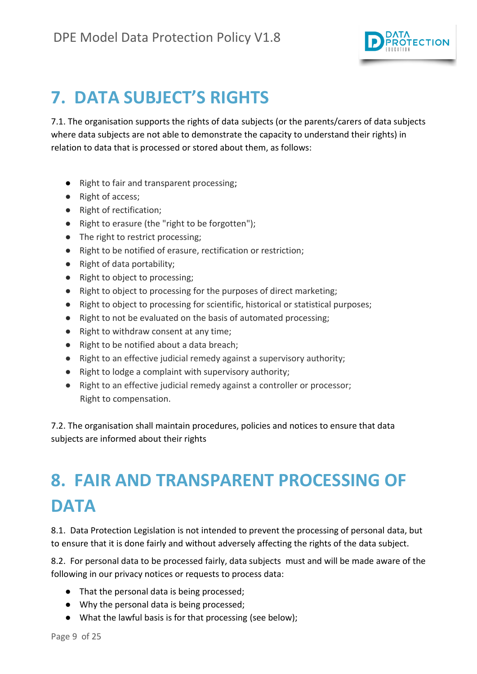

### <span id="page-8-0"></span>**7. DATA SUBJECT'S RIGHTS**

7.1. The organisation supports the rights of data subjects (or the parents/carers of data subjects where data subjects are not able to demonstrate the capacity to understand their rights) in relation to data that is processed or stored about them, as follows:

- Right to fair and transparent processing;
- Right of access;
- Right of rectification;
- Right to erasure (the "right to be forgotten");
- The right to restrict processing;
- Right to be notified of erasure, rectification or restriction;
- Right of data portability;
- Right to object to processing:
- Right to object to processing for the purposes of direct marketing;
- Right to object to processing for scientific, historical or statistical purposes;
- Right to not be evaluated on the basis of automated processing;
- Right to withdraw consent at any time;
- Right to be notified about a data breach;
- Right to an effective judicial remedy against a supervisory authority;
- Right to lodge a complaint with supervisory authority;
- Right to an effective judicial remedy against a controller or processor; Right to compensation.

7.2. The organisation shall maintain procedures, policies and notices to ensure that data subjects are informed about their rights

## <span id="page-8-1"></span>**8. FAIR AND TRANSPARENT PROCESSING OF DATA**

8.1. Data Protection Legislation is not intended to prevent the processing of personal data, but to ensure that it is done fairly and without adversely affecting the rights of the data subject.

8.2. For personal data to be processed fairly, data subjects must and will be made aware of the following in our privacy notices or requests to process data:

- That the personal data is being processed;
- Why the personal data is being processed;
- What the lawful basis is for that processing (see below);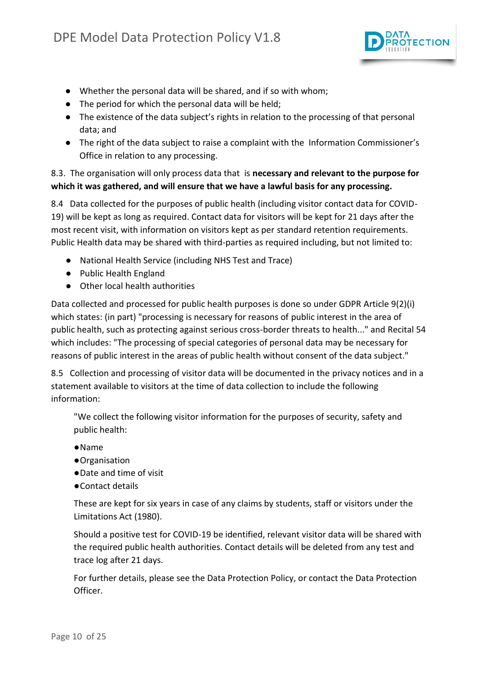

- Whether the personal data will be shared, and if so with whom;
- The period for which the personal data will be held;
- The existence of the data subject's rights in relation to the processing of that personal data; and
- The right of the data subject to raise a complaint with the Information Commissioner's Office in relation to any processing.

8.3. The organisation will only process data that is **necessary and relevant to the purpose for which it was gathered, and will ensure that we have a lawful basis for any processing.**

8.4 Data collected for the purposes of public health (including visitor contact data for COVID-19) will be kept as long as required. Contact data for visitors will be kept for 21 days after the most recent visit, with information on visitors kept as per standard retention requirements. Public Health data may be shared with third-parties as required including, but not limited to:

- National Health Service (including NHS Test and Trace)
- Public Health England
- Other local health authorities

Data collected and processed for public health purposes is done so under GDPR [Article 9\(2\)\(i\)](https://gdpr-info.eu/art-9-gdpr/) which states: (in part) "processing is necessary for reasons of [public interest](https://kb.dataprotection.education/component/seoglossary/1-data-protection-definitions/public-interest) in the area of public health, such as protecting against serious cross-border threats to health..." and [Recital 54](https://gdpr-info.eu/recitals/no-54/) which includes: "The processing of special categories of personal data may be necessary for reasons of public interest in the areas of public health without consent of the data subject."

8.5 Collection and processing of visitor data will be documented in the privacy notices and in a statement available to visitors at the time of data collection to include the following information:

"We collect the following visitor information for the purposes of security, safety and public health:

- ●Name
- ●Organisation
- ●Date and time of visit
- ●Contact details

These are kept for six years in case of any claims by students, staff or visitors under the Limitations Act (1980).

Should a positive test for COVID-19 be identified, relevant visitor data will be shared with the required public health authorities. Contact details will be deleted from any test and trace log after 21 days.

For further details, please see the Data Protection Policy, or contact the Data Protection Officer.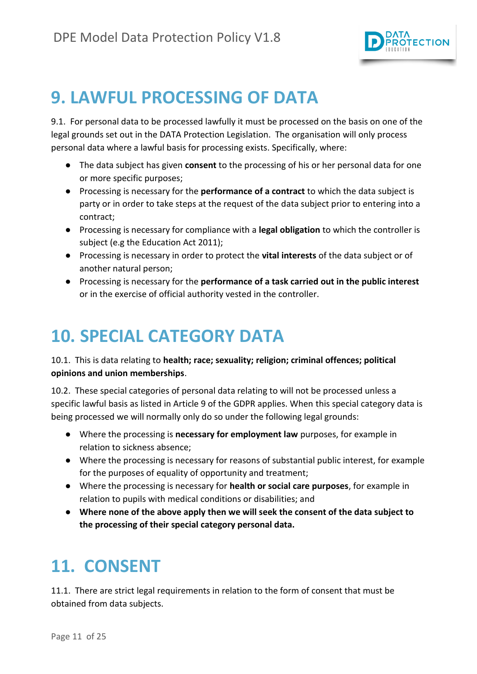

### <span id="page-10-0"></span>**9. LAWFUL PROCESSING OF DATA**

9.1. For personal data to be processed lawfully it must be processed on the basis on one of the legal grounds set out in the DATA Protection Legislation. The organisation will only process personal data where a lawful basis for processing exists. Specifically, where:

- The data subject has given **consent** to the processing of his or her personal data for one or more specific purposes;
- Processing is necessary for the **performance of a contract** to which the data subject is party or in order to take steps at the request of the data subject prior to entering into a contract;
- Processing is necessary for compliance with a **legal obligation** to which the controller is subject (e.g the Education Act 2011);
- Processing is necessary in order to protect the **vital interests** of the data subject or of another natural person;
- Processing is necessary for the **performance of a task carried out in the public interest** or in the exercise of official authority vested in the controller.

### <span id="page-10-1"></span>**10. SPECIAL CATEGORY DATA**

#### 10.1. This is data relating to **health; race; sexuality; religion; criminal offences; political opinions and union memberships**.

10.2. These special categories of personal data relating to will not be processed unless a specific lawful basis as listed in Article 9 of the GDPR applies. When this special category data is being processed we will normally only do so under the following legal grounds:

- Where the processing is **necessary for employment law** purposes, for example in relation to sickness absence;
- Where the processing is necessary for reasons of substantial public interest, for example for the purposes of equality of opportunity and treatment;
- Where the processing is necessary for **health or social care purposes**, for example in relation to pupils with medical conditions or disabilities; and
- **Where none of the above apply then we will seek the consent of the data subject to the processing of their special category personal data.**

### <span id="page-10-2"></span>**11. CONSENT**

11.1. There are strict legal requirements in relation to the form of consent that must be obtained from data subjects.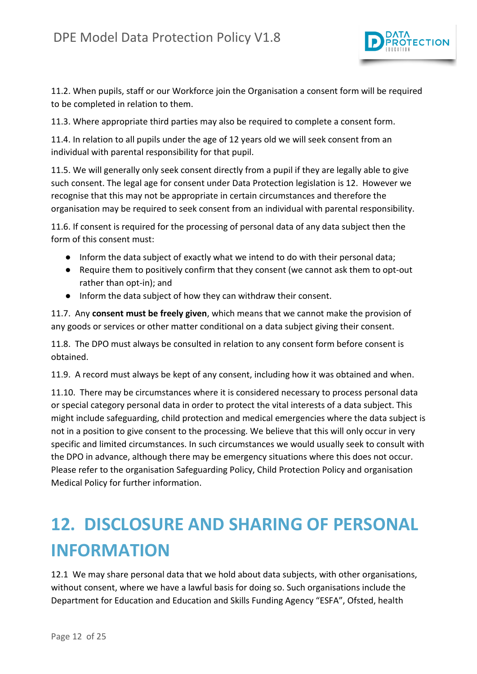

11.2. When pupils, staff or our Workforce join the Organisation a consent form will be required to be completed in relation to them.

11.3. Where appropriate third parties may also be required to complete a consent form.

11.4. In relation to all pupils under the age of 12 years old we will seek consent from an individual with parental responsibility for that pupil.

11.5. We will generally only seek consent directly from a pupil if they are legally able to give such consent. The legal age for consent under Data Protection legislation is 12. However we recognise that this may not be appropriate in certain circumstances and therefore the organisation may be required to seek consent from an individual with parental responsibility.

11.6. If consent is required for the processing of personal data of any data subject then the form of this consent must:

- Inform the data subject of exactly what we intend to do with their personal data;
- Require them to positively confirm that they consent (we cannot ask them to opt-out rather than opt-in); and
- Inform the data subject of how they can withdraw their consent.

11.7. Any **consent must be freely given**, which means that we cannot make the provision of any goods or services or other matter conditional on a data subject giving their consent.

11.8. The DPO must always be consulted in relation to any consent form before consent is obtained.

11.9. A record must always be kept of any consent, including how it was obtained and when.

11.10.There may be circumstances where it is considered necessary to process personal data or special category personal data in order to protect the vital interests of a data subject. This might include safeguarding, child protection and medical emergencies where the data subject is not in a position to give consent to the processing. We believe that this will only occur in very specific and limited circumstances. In such circumstances we would usually seek to consult with the DPO in advance, although there may be emergency situations where this does not occur. Please refer to the organisation Safeguarding Policy, Child Protection Policy and organisation Medical Policy for further information.

### <span id="page-11-0"></span>**12. DISCLOSURE AND SHARING OF PERSONAL INFORMATION**

12.1 We may share personal data that we hold about data subjects, with other organisations, without consent, where we have a lawful basis for doing so. Such organisations include the Department for Education and Education and Skills Funding Agency "ESFA", Ofsted, health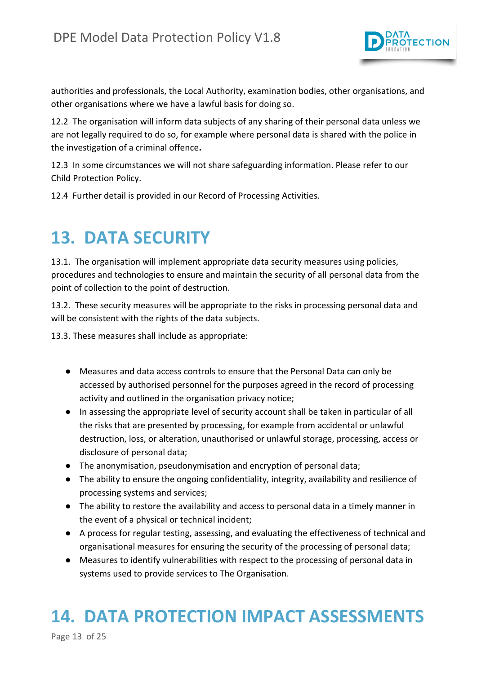

authorities and professionals, the Local Authority, examination bodies, other organisations, and other organisations where we have a lawful basis for doing so.

12.2 The organisation will inform data subjects of any sharing of their personal data unless we are not legally required to do so, for example where personal data is shared with the police in the investigation of a criminal offence**.**

12.3 In some circumstances we will not share safeguarding information. Please refer to our Child Protection Policy.

12.4 Further detail is provided in our Record of Processing Activities.

#### <span id="page-12-0"></span>**13. DATA SECURITY**

13.1. The organisation will implement appropriate data security measures using policies, procedures and technologies to ensure and maintain the security of all personal data from the point of collection to the point of destruction.

13.2. These security measures will be appropriate to the risks in processing personal data and will be consistent with the rights of the data subjects.

13.3. These measures shall include as appropriate:

- Measures and data access controls to ensure that the Personal Data can only be accessed by authorised personnel for the purposes agreed in the record of processing activity and outlined in the organisation privacy notice;
- In assessing the appropriate level of security account shall be taken in particular of all the risks that are presented by processing, for example from accidental or unlawful destruction, loss, or alteration, unauthorised or unlawful storage, processing, access or disclosure of personal data;
- The anonymisation, pseudonymisation and encryption of personal data;
- The ability to ensure the ongoing confidentiality, integrity, availability and resilience of processing systems and services;
- The ability to restore the availability and access to personal data in a timely manner in the event of a physical or technical incident;
- A process for regular testing, assessing, and evaluating the effectiveness of technical and organisational measures for ensuring the security of the processing of personal data;
- Measures to identify vulnerabilities with respect to the processing of personal data in systems used to provide services to The Organisation.

#### <span id="page-12-1"></span>**14. DATA PROTECTION IMPACT ASSESSMENTS**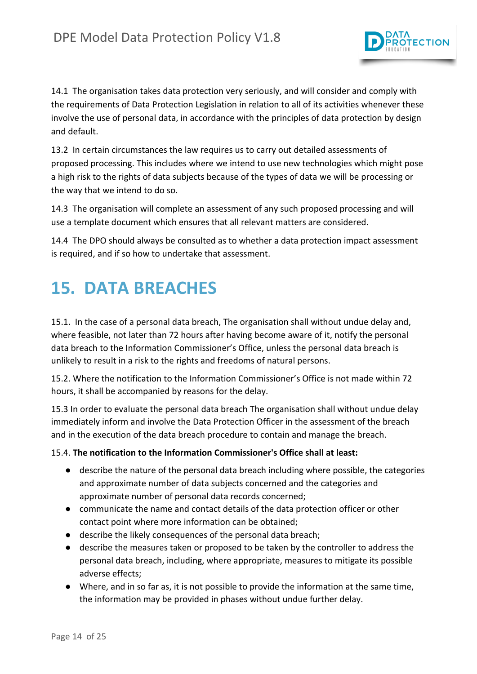

14.1 The organisation takes data protection very seriously, and will consider and comply with the requirements of Data Protection Legislation in relation to all of its activities whenever these involve the use of personal data, in accordance with the principles of data protection by design and default.

13.2 In certain circumstances the law requires us to carry out detailed assessments of proposed processing. This includes where we intend to use new technologies which might pose a high risk to the rights of data subjects because of the types of data we will be processing or the way that we intend to do so.

14.3 The organisation will complete an assessment of any such proposed processing and will use a template document which ensures that all relevant matters are considered.

14.4 The DPO should always be consulted as to whether a data protection impact assessment is required, and if so how to undertake that assessment.

#### <span id="page-13-0"></span>**15. DATA BREACHES**

15.1. In the case of a personal data breach, The organisation shall without undue delay and, where feasible, not later than 72 hours after having become aware of it, notify the personal data breach to the Information Commissioner's Office, unless the personal data breach is unlikely to result in a risk to the rights and freedoms of natural persons.

15.2. Where the notification to the Information Commissioner's Office is not made within 72 hours, it shall be accompanied by reasons for the delay.

15.3 In order to evaluate the personal data breach The organisation shall without undue delay immediately inform and involve the Data Protection Officer in the assessment of the breach and in the execution of the data breach procedure to contain and manage the breach.

#### 15.4. **The notification to the Information Commissioner's Office shall at least:**

- describe the nature of the personal data breach including where possible, the categories and approximate number of data subjects concerned and the categories and approximate number of personal data records concerned;
- communicate the name and contact details of the data protection officer or other contact point where more information can be obtained;
- describe the likely consequences of the personal data breach;
- describe the measures taken or proposed to be taken by the controller to address the personal data breach, including, where appropriate, measures to mitigate its possible adverse effects;
- Where, and in so far as, it is not possible to provide the information at the same time, the information may be provided in phases without undue further delay.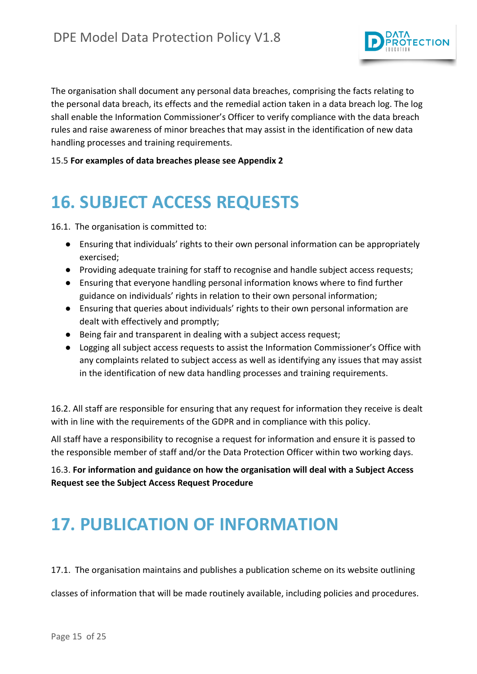

The organisation shall document any personal data breaches, comprising the facts relating to the personal data breach, its effects and the remedial action taken in a data breach log. The log shall enable the Information Commissioner's Officer to verify compliance with the data breach rules and raise awareness of minor breaches that may assist in the identification of new data handling processes and training requirements.

15.5 **For examples of data breaches please see Appendix 2**

#### <span id="page-14-0"></span>**16. SUBJECT ACCESS REQUESTS**

16.1. The organisation is committed to:

- Ensuring that individuals' rights to their own personal information can be appropriately exercised;
- Providing adequate training for staff to recognise and handle subject access requests;
- Ensuring that everyone handling personal information knows where to find further guidance on individuals' rights in relation to their own personal information;
- Ensuring that queries about individuals' rights to their own personal information are dealt with effectively and promptly;
- Being fair and transparent in dealing with a subject access request;
- Logging all subject access requests to assist the Information Commissioner's Office with any complaints related to subject access as well as identifying any issues that may assist in the identification of new data handling processes and training requirements.

16.2. All staff are responsible for ensuring that any request for information they receive is dealt with in line with the requirements of the GDPR and in compliance with this policy.

All staff have a responsibility to recognise a request for information and ensure it is passed to the responsible member of staff and/or the Data Protection Officer within two working days.

16.3. **For information and guidance on how the organisation will deal with a Subject Access Request see the Subject Access Request Procedure**

#### <span id="page-14-1"></span>**17. PUBLICATION OF INFORMATION**

17.1. The organisation maintains and publishes a publication scheme on its website outlining

classes of information that will be made routinely available, including policies and procedures.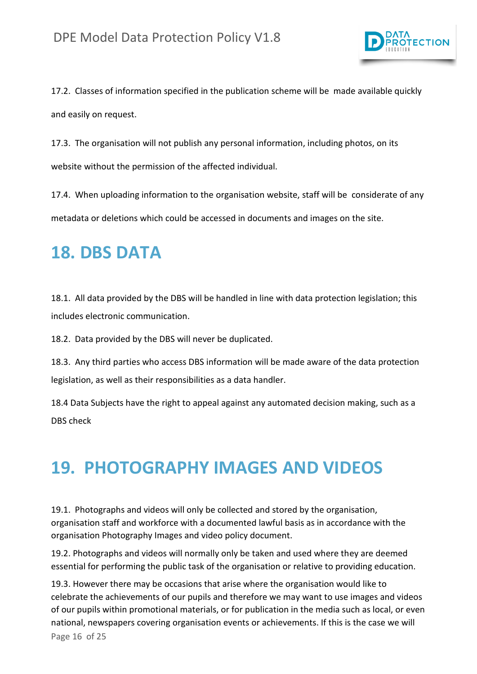

17.2. Classes of information specified in the publication scheme will be made available quickly and easily on request.

17.3. The organisation will not publish any personal information, including photos, on its website without the permission of the affected individual.

17.4. When uploading information to the organisation website, staff will be considerate of any metadata or deletions which could be accessed in documents and images on the site.

#### <span id="page-15-0"></span>**18. DBS DATA**

18.1. All data provided by the DBS will be handled in line with data protection legislation; this includes electronic communication.

18.2. Data provided by the DBS will never be duplicated.

18.3. Any third parties who access DBS information will be made aware of the data protection legislation, as well as their responsibilities as a data handler.

18.4 Data Subjects have the right to appeal against any automated decision making, such as a DBS check

#### <span id="page-15-1"></span>**19. PHOTOGRAPHY IMAGES AND VIDEOS**

19.1. Photographs and videos will only be collected and stored by the organisation, organisation staff and workforce with a documented lawful basis as in accordance with the organisation Photography Images and video policy document.

19.2. Photographs and videos will normally only be taken and used where they are deemed essential for performing the public task of the organisation or relative to providing education.

Page 16 of 25 19.3. However there may be occasions that arise where the organisation would like to celebrate the achievements of our pupils and therefore we may want to use images and videos of our pupils within promotional materials, or for publication in the media such as local, or even national, newspapers covering organisation events or achievements. If this is the case we will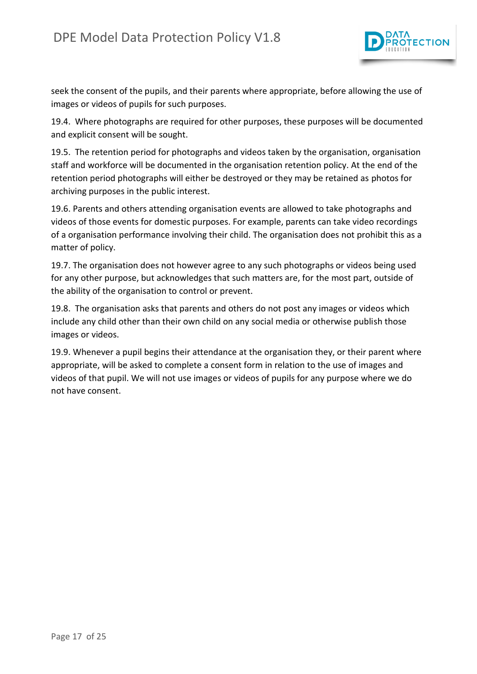

seek the consent of the pupils, and their parents where appropriate, before allowing the use of images or videos of pupils for such purposes.

19.4. Where photographs are required for other purposes, these purposes will be documented and explicit consent will be sought.

19.5. The retention period for photographs and videos taken by the organisation, organisation staff and workforce will be documented in the organisation retention policy. At the end of the retention period photographs will either be destroyed or they may be retained as photos for archiving purposes in the public interest.

19.6. Parents and others attending organisation events are allowed to take photographs and videos of those events for domestic purposes. For example, parents can take video recordings of a organisation performance involving their child. The organisation does not prohibit this as a matter of policy.

19.7. The organisation does not however agree to any such photographs or videos being used for any other purpose, but acknowledges that such matters are, for the most part, outside of the ability of the organisation to control or prevent.

19.8. The organisation asks that parents and others do not post any images or videos which include any child other than their own child on any social media or otherwise publish those images or videos.

19.9. Whenever a pupil begins their attendance at the organisation they, or their parent where appropriate, will be asked to complete a consent form in relation to the use of images and videos of that pupil. We will not use images or videos of pupils for any purpose where we do not have consent.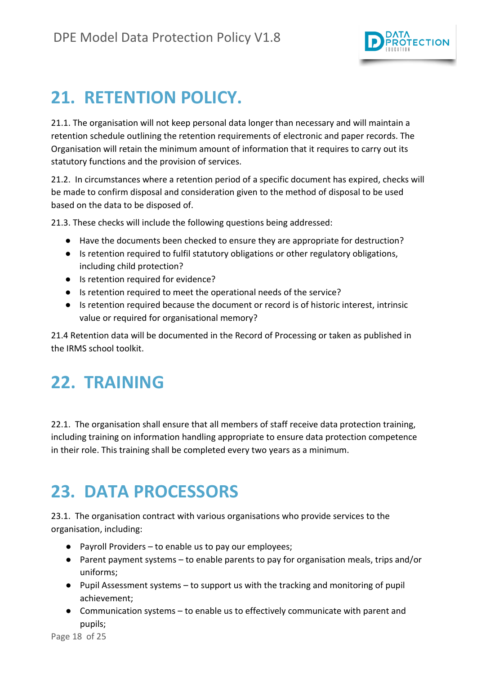

#### <span id="page-17-0"></span>**21. RETENTION POLICY.**

21.1. The organisation will not keep personal data longer than necessary and will maintain a retention schedule outlining the retention requirements of electronic and paper records. The Organisation will retain the minimum amount of information that it requires to carry out its statutory functions and the provision of services.

21.2. In circumstances where a retention period of a specific document has expired, checks will be made to confirm disposal and consideration given to the method of disposal to be used based on the data to be disposed of.

21.3. These checks will include the following questions being addressed:

- Have the documents been checked to ensure they are appropriate for destruction?
- Is retention required to fulfil statutory obligations or other regulatory obligations, including child protection?
- Is retention required for evidence?
- Is retention required to meet the operational needs of the service?
- Is retention required because the document or record is of historic interest, intrinsic value or required for organisational memory?

21.4 Retention data will be documented in the Record of Processing or taken as published in the IRMS school toolkit.

#### <span id="page-17-1"></span>**22. TRAINING**

22.1. The organisation shall ensure that all members of staff receive data protection training, including training on information handling appropriate to ensure data protection competence in their role. This training shall be completed every two years as a minimum.

### <span id="page-17-2"></span>**23. DATA PROCESSORS**

23.1. The organisation contract with various organisations who provide services to the organisation, including:

- Payroll Providers to enable us to pay our employees;
- Parent payment systems to enable parents to pay for organisation meals, trips and/or uniforms;
- Pupil Assessment systems to support us with the tracking and monitoring of pupil achievement;
- Communication systems to enable us to effectively communicate with parent and pupils;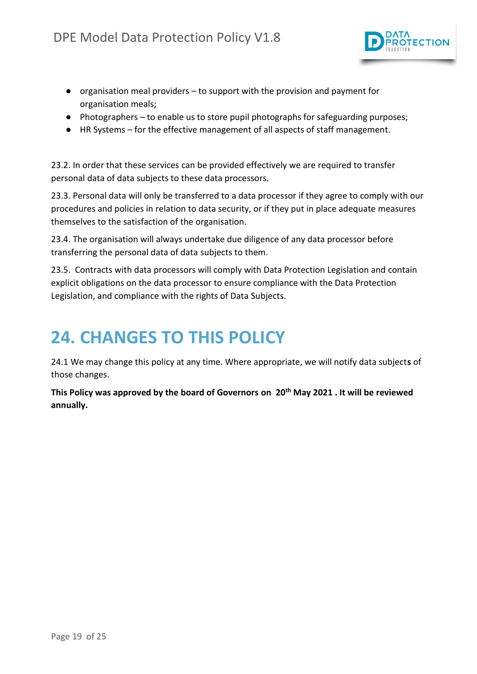

- organisation meal providers to support with the provision and payment for organisation meals;
- Photographers to enable us to store pupil photographs for safeguarding purposes;
- HR Systems for the effective management of all aspects of staff management.

23.2. In order that these services can be provided effectively we are required to transfer personal data of data subjects to these data processors.

23.3. Personal data will only be transferred to a data processor if they agree to comply with our procedures and policies in relation to data security, or if they put in place adequate measures themselves to the satisfaction of the organisation.

23.4. The organisation will always undertake due diligence of any data processor before transferring the personal data of data subjects to them.

23.5. Contracts with data processors will comply with Data Protection Legislation and contain explicit obligations on the data processor to ensure compliance with the Data Protection Legislation, and compliance with the rights of Data Subjects.

#### <span id="page-18-0"></span>**24. CHANGES TO THIS POLICY**

24.1 We may change this policy at any time. Where appropriate, we will notify data subject**s** of those changes.

**This Policy was approved by the board of Governors on 20 th May 2021 . It will be reviewed annually.**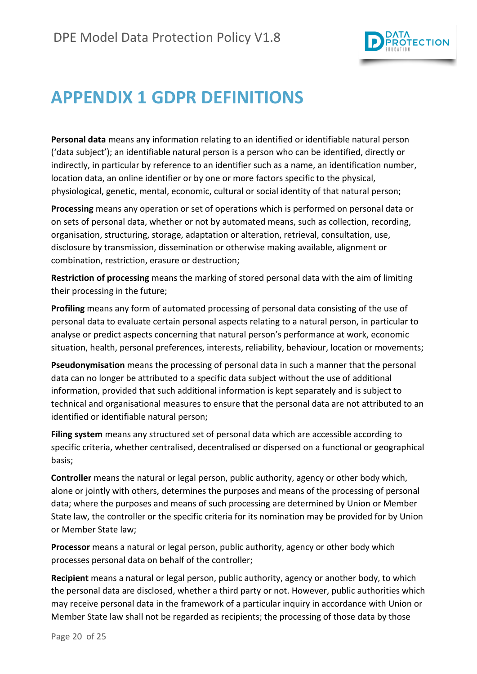

#### <span id="page-19-0"></span>**APPENDIX 1 GDPR DEFINITIONS**

**Personal data** means any information relating to an identified or identifiable natural person ('data subject'); an identifiable natural person is a person who can be identified, directly or indirectly, in particular by reference to an identifier such as a name, an identification number, location data, an online identifier or by one or more factors specific to the physical, physiological, genetic, mental, economic, cultural or social identity of that natural person;

**Processing** means any operation or set of operations which is performed on personal data or on sets of personal data, whether or not by automated means, such as collection, recording, organisation, structuring, storage, adaptation or alteration, retrieval, consultation, use, disclosure by transmission, dissemination or otherwise making available, alignment or combination, restriction, erasure or destruction;

**Restriction of processing** means the marking of stored personal data with the aim of limiting their processing in the future;

**Profiling** means any form of automated processing of personal data consisting of the use of personal data to evaluate certain personal aspects relating to a natural person, in particular to analyse or predict aspects concerning that natural person's performance at work, economic situation, health, personal preferences, interests, reliability, behaviour, location or movements;

**Pseudonymisation** means the processing of personal data in such a manner that the personal data can no longer be attributed to a specific data subject without the use of additional information, provided that such additional information is kept separately and is subject to technical and organisational measures to ensure that the personal data are not attributed to an identified or identifiable natural person;

**Filing system** means any structured set of personal data which are accessible according to specific criteria, whether centralised, decentralised or dispersed on a functional or geographical basis;

**Controller** means the natural or legal person, public authority, agency or other body which, alone or jointly with others, determines the purposes and means of the processing of personal data; where the purposes and means of such processing are determined by Union or Member State law, the controller or the specific criteria for its nomination may be provided for by Union or Member State law;

**Processor** means a natural or legal person, public authority, agency or other body which processes personal data on behalf of the controller;

**Recipient** means a natural or legal person, public authority, agency or another body, to which the personal data are disclosed, whether a third party or not. However, public authorities which may receive personal data in the framework of a particular inquiry in accordance with Union or Member State law shall not be regarded as recipients; the processing of those data by those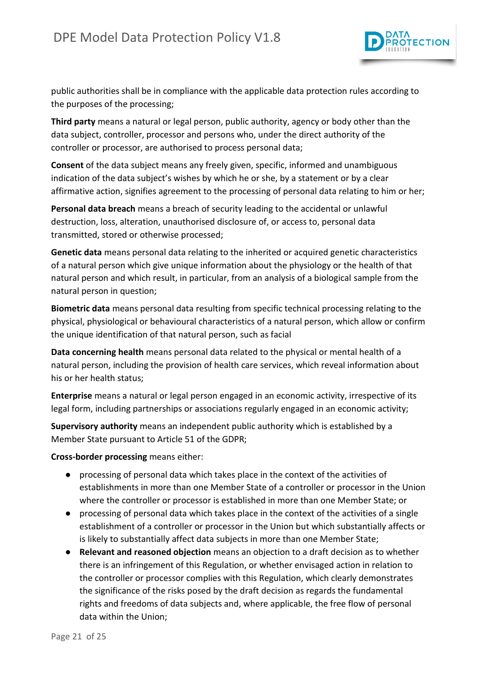

public authorities shall be in compliance with the applicable data protection rules according to the purposes of the processing;

**Third party** means a natural or legal person, public authority, agency or body other than the data subject, controller, processor and persons who, under the direct authority of the controller or processor, are authorised to process personal data;

**Consent** of the data subject means any freely given, specific, informed and unambiguous indication of the data subject's wishes by which he or she, by a statement or by a clear affirmative action, signifies agreement to the processing of personal data relating to him or her;

**Personal data breach** means a breach of security leading to the accidental or unlawful destruction, loss, alteration, unauthorised disclosure of, or access to, personal data transmitted, stored or otherwise processed;

**Genetic data** means personal data relating to the inherited or acquired genetic characteristics of a natural person which give unique information about the physiology or the health of that natural person and which result, in particular, from an analysis of a biological sample from the natural person in question;

**Biometric data** means personal data resulting from specific technical processing relating to the physical, physiological or behavioural characteristics of a natural person, which allow or confirm the unique identification of that natural person, such as facial

**Data concerning health** means personal data related to the physical or mental health of a natural person, including the provision of health care services, which reveal information about his or her health status;

**Enterprise** means a natural or legal person engaged in an economic activity, irrespective of its legal form, including partnerships or associations regularly engaged in an economic activity;

**Supervisory authority** means an independent public authority which is established by a Member State pursuant to Article 51 of the GDPR;

**Cross-border processing** means either:

- processing of personal data which takes place in the context of the activities of establishments in more than one Member State of a controller or processor in the Union where the controller or processor is established in more than one Member State; or
- processing of personal data which takes place in the context of the activities of a single establishment of a controller or processor in the Union but which substantially affects or is likely to substantially affect data subjects in more than one Member State;
- **Relevant and reasoned objection** means an objection to a draft decision as to whether there is an infringement of this Regulation, or whether envisaged action in relation to the controller or processor complies with this Regulation, which clearly demonstrates the significance of the risks posed by the draft decision as regards the fundamental rights and freedoms of data subjects and, where applicable, the free flow of personal data within the Union;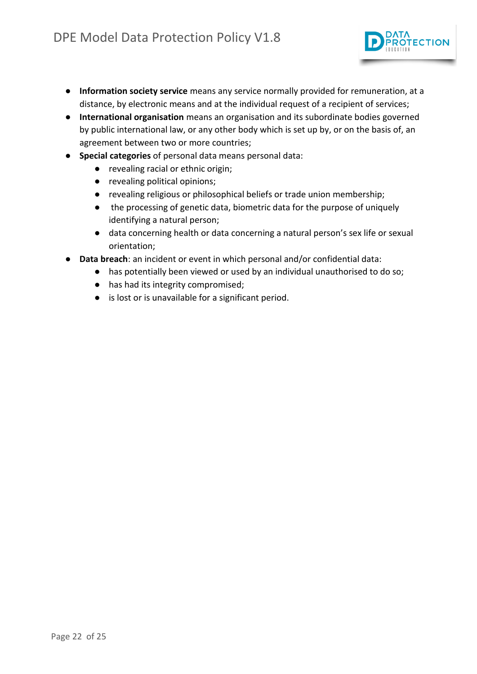

- **Information society service** means any service normally provided for remuneration, at a distance, by electronic means and at the individual request of a recipient of services;
- **International organisation** means an organisation and its subordinate bodies governed by public international law, or any other body which is set up by, or on the basis of, an agreement between two or more countries;
- **Special categories** of personal data means personal data:
	- revealing racial or ethnic origin;
	- revealing political opinions;
	- revealing religious or philosophical beliefs or trade union membership;
	- the processing of genetic data, biometric data for the purpose of uniquely identifying a natural person;
	- data concerning health or data concerning a natural person's sex life or sexual orientation;
- **Data breach**: an incident or event in which personal and/or confidential data:
	- has potentially been viewed or used by an individual unauthorised to do so;
	- has had its integrity compromised;
	- is lost or is unavailable for a significant period.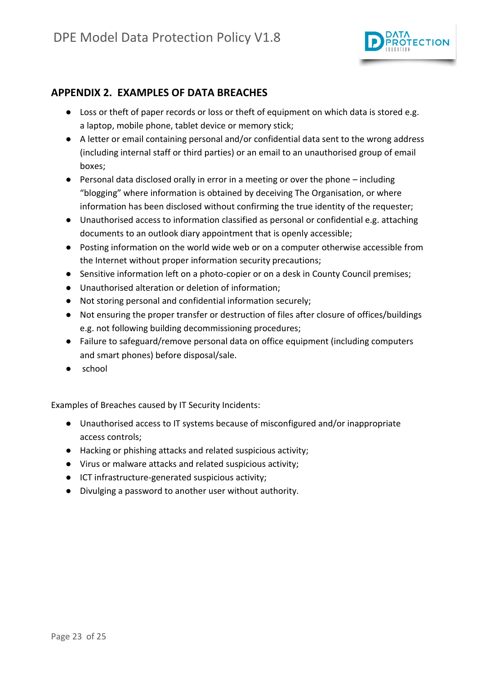

#### **APPENDIX 2. EXAMPLES OF DATA BREACHES**

- Loss or theft of paper records or loss or theft of equipment on which data is stored e.g. a laptop, mobile phone, tablet device or memory stick;
- A letter or email containing personal and/or confidential data sent to the wrong address (including internal staff or third parties) or an email to an unauthorised group of email boxes;
- Personal data disclosed orally in error in a meeting or over the phone including "blogging" where information is obtained by deceiving The Organisation, or where information has been disclosed without confirming the true identity of the requester;
- Unauthorised access to information classified as personal or confidential e.g. attaching documents to an outlook diary appointment that is openly accessible;
- Posting information on the world wide web or on a computer otherwise accessible from the Internet without proper information security precautions;
- Sensitive information left on a photo-copier or on a desk in County Council premises;
- Unauthorised alteration or deletion of information;
- Not storing personal and confidential information securely;
- Not ensuring the proper transfer or destruction of files after closure of offices/buildings e.g. not following building decommissioning procedures;
- Failure to safeguard/remove personal data on office equipment (including computers and smart phones) before disposal/sale.
- school

Examples of Breaches caused by IT Security Incidents:

- Unauthorised access to IT systems because of misconfigured and/or inappropriate access controls;
- Hacking or phishing attacks and related suspicious activity;
- Virus or malware attacks and related suspicious activity;
- ICT infrastructure-generated suspicious activity;
- Divulging a password to another user without authority.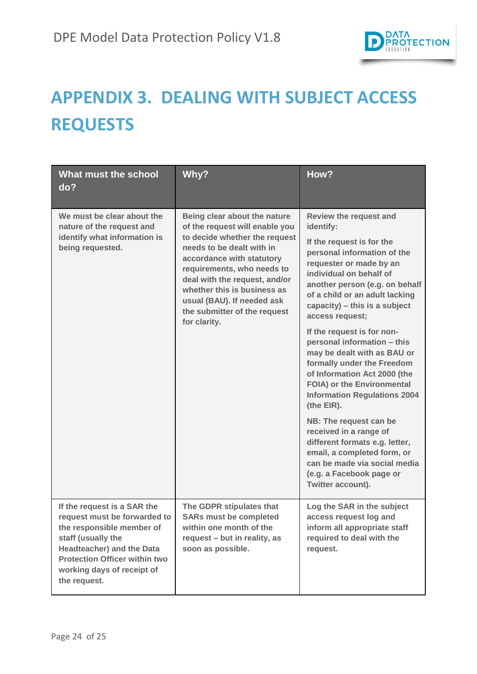

# <span id="page-23-0"></span>**APPENDIX 3. DEALING WITH SUBJECT ACCESS REQUESTS**

| What must the school<br>do?                                                                                                                                                                                                              | Why?                                                                                                                                                                                                                                                                                                                                  | How?                                                                                                                                                                                                                                                                                                                                                                                                                                                                                                                                                                                                                                                                                                                                           |
|------------------------------------------------------------------------------------------------------------------------------------------------------------------------------------------------------------------------------------------|---------------------------------------------------------------------------------------------------------------------------------------------------------------------------------------------------------------------------------------------------------------------------------------------------------------------------------------|------------------------------------------------------------------------------------------------------------------------------------------------------------------------------------------------------------------------------------------------------------------------------------------------------------------------------------------------------------------------------------------------------------------------------------------------------------------------------------------------------------------------------------------------------------------------------------------------------------------------------------------------------------------------------------------------------------------------------------------------|
| We must be clear about the<br>nature of the request and<br>identify what information is<br>being requested.                                                                                                                              | Being clear about the nature<br>of the request will enable you<br>to decide whether the request<br>needs to be dealt with in<br>accordance with statutory<br>requirements, who needs to<br>deal with the request, and/or<br>whether this is business as<br>usual (BAU). If needed ask<br>the submitter of the request<br>for clarity. | <b>Review the request and</b><br>identify:<br>If the request is for the<br>personal information of the<br>requester or made by an<br>individual on behalf of<br>another person (e.g. on behalf<br>of a child or an adult lacking<br>capacity) – this is a subject<br>access request;<br>If the request is for non-<br>personal information - this<br>may be dealt with as BAU or<br>formally under the Freedom<br>of Information Act 2000 (the<br><b>FOIA) or the Environmental</b><br><b>Information Regulations 2004</b><br>(the EIR).<br>NB: The request can be<br>received in a range of<br>different formats e.g. letter,<br>email, a completed form, or<br>can be made via social media<br>(e.g. a Facebook page or<br>Twitter account). |
| If the request is a SAR the<br>request must be forwarded to<br>the responsible member of<br>staff (usually the<br><b>Headteacher) and the Data</b><br><b>Protection Officer within two</b><br>working days of receipt of<br>the request. | The GDPR stipulates that<br><b>SARs must be completed</b><br>within one month of the<br>request - but in reality, as<br>soon as possible.                                                                                                                                                                                             | Log the SAR in the subject<br>access request log and<br>inform all appropriate staff<br>required to deal with the<br>request.                                                                                                                                                                                                                                                                                                                                                                                                                                                                                                                                                                                                                  |